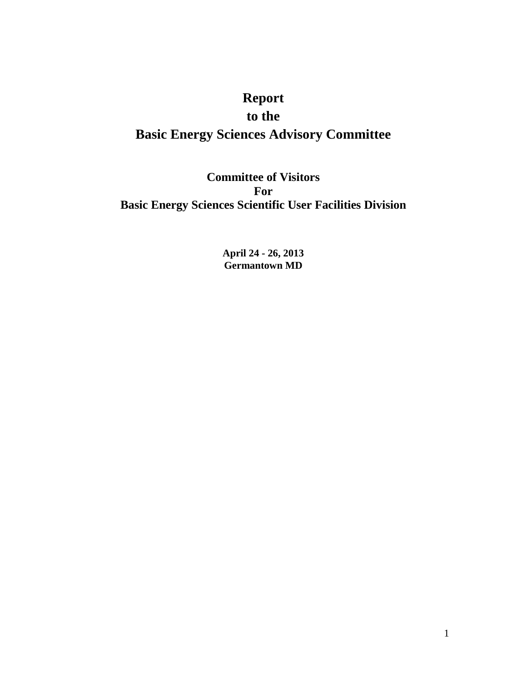# **Report**

# **to the**

# **Basic Energy Sciences Advisory Committee**

**Committee of Visitors For Basic Energy Sciences Scientific User Facilities Division**

> **April 24 - 26, 2013 Germantown MD**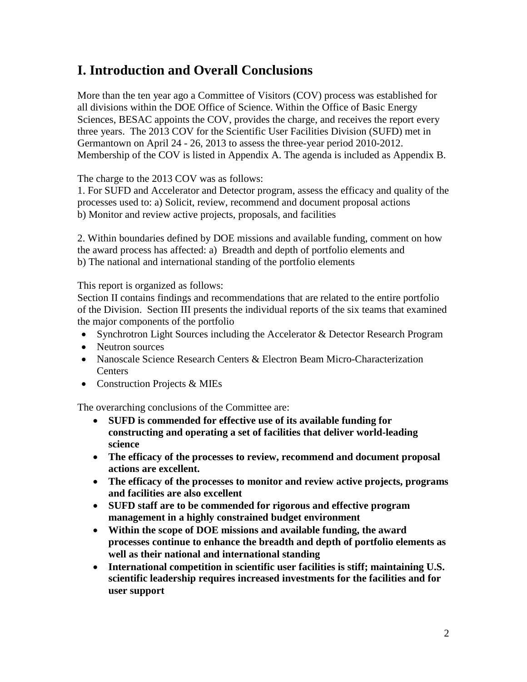# **I. Introduction and Overall Conclusions**

More than the ten year ago a Committee of Visitors (COV) process was established for all divisions within the DOE Office of Science. Within the Office of Basic Energy Sciences, BESAC appoints the COV, provides the charge, and receives the report every three years. The 2013 COV for the Scientific User Facilities Division (SUFD) met in Germantown on April 24 - 26, 2013 to assess the three-year period 2010-2012. Membership of the COV is listed in Appendix A. The agenda is included as Appendix B.

The charge to the 2013 COV was as follows:

1. For SUFD and Accelerator and Detector program, assess the efficacy and quality of the processes used to: a) Solicit, review, recommend and document proposal actions b) Monitor and review active projects, proposals, and facilities

2. Within boundaries defined by DOE missions and available funding, comment on how the award process has affected: a) Breadth and depth of portfolio elements and b) The national and international standing of the portfolio elements

This report is organized as follows:

Section II contains findings and recommendations that are related to the entire portfolio of the Division. Section III presents the individual reports of the six teams that examined the major components of the portfolio

- Synchrotron Light Sources including the Accelerator & Detector Research Program
- Neutron sources
- Nanoscale Science Research Centers & Electron Beam Micro-Characterization Centers
- Construction Projects & MIEs

The overarching conclusions of the Committee are:

- **SUFD is commended for effective use of its available funding for constructing and operating a set of facilities that deliver world-leading science**
- **The efficacy of the processes to review, recommend and document proposal actions are excellent.**
- **The efficacy of the processes to monitor and review active projects, programs and facilities are also excellent**
- **SUFD staff are to be commended for rigorous and effective program management in a highly constrained budget environment**
- **Within the scope of DOE missions and available funding, the award processes continue to enhance the breadth and depth of portfolio elements as well as their national and international standing**
- **International competition in scientific user facilities is stiff; maintaining U.S. scientific leadership requires increased investments for the facilities and for user support**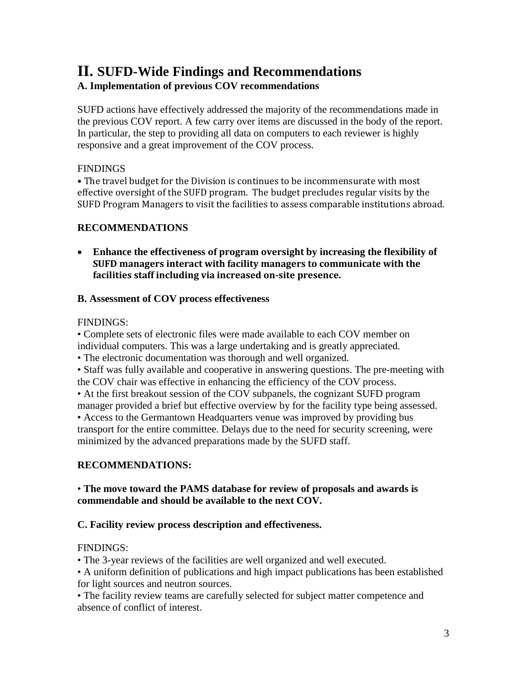# **II. SUFD-Wide Findings and Recommendations A. Implementation of previous COV recommendations**

SUFD actions have effectively addressed the majority of the recommendations made in the previous COV report. A few carry over items are discussed in the body of the report. In particular, the step to providing all data on computers to each reviewer is highly responsive and a great improvement of the COV process.

## FINDINGS

• The travel budget for the Division is continues to be incommensurate with most effective oversight of the SUFD program. The budget precludes regular visits by the SUFD Program Managers to visit the facilities to assess comparable institutions abroad.

# **RECOMMENDATIONS**

• **Enhance the effectiveness of program oversight by increasing the flexibility of SUFD managers interact with facility managers to communicate with the facilities staff including via increased on-site presence.** 

## **B. Assessment of COV process effectiveness**

## FINDINGS:

• Complete sets of electronic files were made available to each COV member on individual computers. This was a large undertaking and is greatly appreciated.

• The electronic documentation was thorough and well organized.

• Staff was fully available and cooperative in answering questions. The pre-meeting with the COV chair was effective in enhancing the efficiency of the COV process.

• At the first breakout session of the COV subpanels, the cognizant SUFD program manager provided a brief but effective overview by for the facility type being assessed.

• Access to the Germantown Headquarters venue was improved by providing bus transport for the entire committee. Delays due to the need for security screening, were minimized by the advanced preparations made by the SUFD staff.

# **RECOMMENDATIONS:**

## • **The move toward the PAMS database for review of proposals and awards is commendable and should be available to the next COV.**

## **C. Facility review process description and effectiveness.**

# FINDINGS:

• The 3-year reviews of the facilities are well organized and well executed.

• A uniform definition of publications and high impact publications has been established for light sources and neutron sources.

• The facility review teams are carefully selected for subject matter competence and absence of conflict of interest.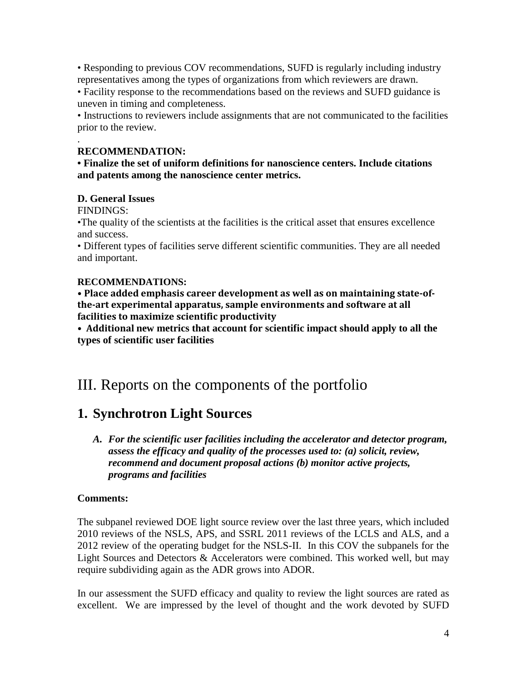• Responding to previous COV recommendations, SUFD is regularly including industry representatives among the types of organizations from which reviewers are drawn.

• Facility response to the recommendations based on the reviews and SUFD guidance is uneven in timing and completeness.

• Instructions to reviewers include assignments that are not communicated to the facilities prior to the review.

#### . **RECOMMENDATION:**

**• Finalize the set of uniform definitions for nanoscience centers. Include citations and patents among the nanoscience center metrics.**

## **D. General Issues**

FINDINGS:

•The quality of the scientists at the facilities is the critical asset that ensures excellence and success.

• Different types of facilities serve different scientific communities. They are all needed and important.

#### **RECOMMENDATIONS:**

**• Place added emphasis career development as well as on maintaining state-ofthe-art experimental apparatus, sample environments and software at all facilities to maximize scientific productivity** 

**• Additional new metrics that account for scientific impact should apply to all the types of scientific user facilities**

# III. Reports on the components of the portfolio

# **1. Synchrotron Light Sources**

*A. For the scientific user facilities including the accelerator and detector program, assess the efficacy and quality of the processes used to: (a) solicit, review, recommend and document proposal actions (b) monitor active projects, programs and facilities*

## **Comments:**

The subpanel reviewed DOE light source review over the last three years, which included 2010 reviews of the NSLS, APS, and SSRL 2011 reviews of the LCLS and ALS, and a 2012 review of the operating budget for the NSLS-II. In this COV the subpanels for the Light Sources and Detectors & Accelerators were combined. This worked well, but may require subdividing again as the ADR grows into ADOR.

In our assessment the SUFD efficacy and quality to review the light sources are rated as excellent. We are impressed by the level of thought and the work devoted by SUFD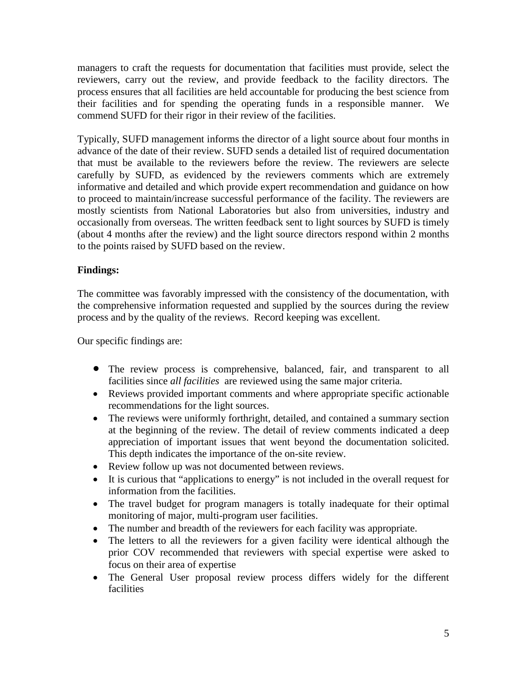managers to craft the requests for documentation that facilities must provide, select the reviewers, carry out the review, and provide feedback to the facility directors. The process ensures that all facilities are held accountable for producing the best science from their facilities and for spending the operating funds in a responsible manner. We commend SUFD for their rigor in their review of the facilities.

Typically, SUFD management informs the director of a light source about four months in advance of the date of their review. SUFD sends a detailed list of required documentation that must be available to the reviewers before the review. The reviewers are selecte carefully by SUFD, as evidenced by the reviewers comments which are extremely informative and detailed and which provide expert recommendation and guidance on how to proceed to maintain/increase successful performance of the facility. The reviewers are mostly scientists from National Laboratories but also from universities, industry and occasionally from overseas. The written feedback sent to light sources by SUFD is timely (about 4 months after the review) and the light source directors respond within 2 months to the points raised by SUFD based on the review.

## **Findings:**

The committee was favorably impressed with the consistency of the documentation, with the comprehensive information requested and supplied by the sources during the review process and by the quality of the reviews. Record keeping was excellent.

Our specific findings are:

- The review process is comprehensive, balanced, fair, and transparent to all facilities since *all facilities* are reviewed using the same major criteria.
- Reviews provided important comments and where appropriate specific actionable recommendations for the light sources.
- The reviews were uniformly forthright, detailed, and contained a summary section at the beginning of the review. The detail of review comments indicated a deep appreciation of important issues that went beyond the documentation solicited. This depth indicates the importance of the on-site review.
- Review follow up was not documented between reviews.
- It is curious that "applications to energy" is not included in the overall request for information from the facilities.
- The travel budget for program managers is totally inadequate for their optimal monitoring of major, multi-program user facilities.
- The number and breadth of the reviewers for each facility was appropriate.
- The letters to all the reviewers for a given facility were identical although the prior COV recommended that reviewers with special expertise were asked to focus on their area of expertise
- The General User proposal review process differs widely for the different facilities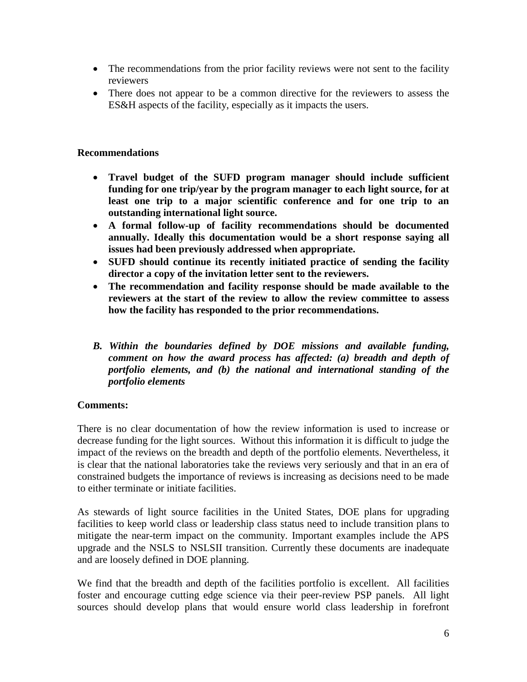- The recommendations from the prior facility reviews were not sent to the facility reviewers
- There does not appear to be a common directive for the reviewers to assess the ES&H aspects of the facility, especially as it impacts the users.

#### **Recommendations**

- **Travel budget of the SUFD program manager should include sufficient funding for one trip/year by the program manager to each light source, for at least one trip to a major scientific conference and for one trip to an outstanding international light source.**
- **A formal follow-up of facility recommendations should be documented annually. Ideally this documentation would be a short response saying all issues had been previously addressed when appropriate.**
- **SUFD should continue its recently initiated practice of sending the facility director a copy of the invitation letter sent to the reviewers.**
- **The recommendation and facility response should be made available to the reviewers at the start of the review to allow the review committee to assess how the facility has responded to the prior recommendations.**
- *B. Within the boundaries defined by DOE missions and available funding, comment on how the award process has affected: (a) breadth and depth of portfolio elements, and (b) the national and international standing of the portfolio elements*

#### **Comments:**

There is no clear documentation of how the review information is used to increase or decrease funding for the light sources. Without this information it is difficult to judge the impact of the reviews on the breadth and depth of the portfolio elements. Nevertheless, it is clear that the national laboratories take the reviews very seriously and that in an era of constrained budgets the importance of reviews is increasing as decisions need to be made to either terminate or initiate facilities.

As stewards of light source facilities in the United States, DOE plans for upgrading facilities to keep world class or leadership class status need to include transition plans to mitigate the near-term impact on the community. Important examples include the APS upgrade and the NSLS to NSLSII transition. Currently these documents are inadequate and are loosely defined in DOE planning.

We find that the breadth and depth of the facilities portfolio is excellent. All facilities foster and encourage cutting edge science via their peer-review PSP panels. All light sources should develop plans that would ensure world class leadership in forefront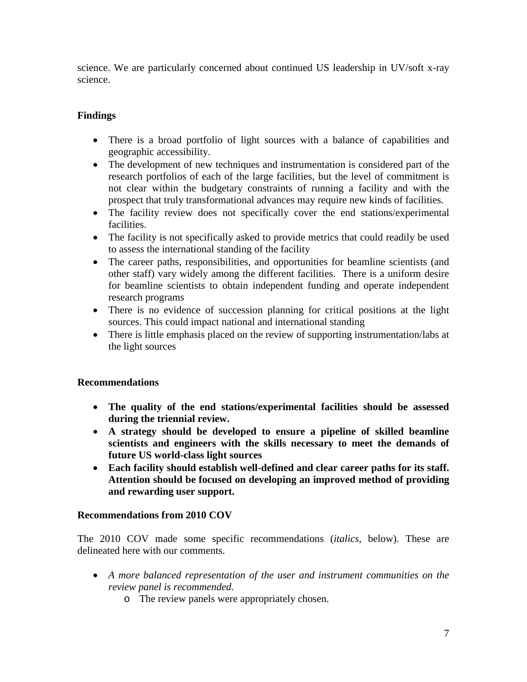science. We are particularly concerned about continued US leadership in UV/soft x-ray science.

# **Findings**

- There is a broad portfolio of light sources with a balance of capabilities and geographic accessibility.
- The development of new techniques and instrumentation is considered part of the research portfolios of each of the large facilities, but the level of commitment is not clear within the budgetary constraints of running a facility and with the prospect that truly transformational advances may require new kinds of facilities.
- The facility review does not specifically cover the end stations/experimental facilities.
- The facility is not specifically asked to provide metrics that could readily be used to assess the international standing of the facility
- The career paths, responsibilities, and opportunities for beamline scientists (and other staff) vary widely among the different facilities. There is a uniform desire for beamline scientists to obtain independent funding and operate independent research programs
- There is no evidence of succession planning for critical positions at the light sources. This could impact national and international standing
- There is little emphasis placed on the review of supporting instrumentation/labs at the light sources

# **Recommendations**

- **The quality of the end stations/experimental facilities should be assessed during the triennial review.**
- **A strategy should be developed to ensure a pipeline of skilled beamline scientists and engineers with the skills necessary to meet the demands of future US world-class light sources**
- **Each facility should establish well-defined and clear career paths for its staff. Attention should be focused on developing an improved method of providing and rewarding user support.**

## **Recommendations from 2010 COV**

The 2010 COV made some specific recommendations (*italics*, below). These are delineated here with our comments.

- *A more balanced representation of the user and instrument communities on the review panel is recommended.*
	- o The review panels were appropriately chosen.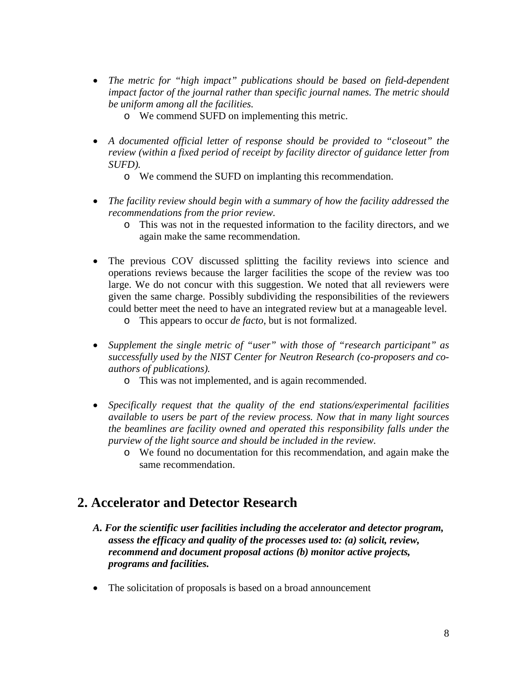- *The metric for "high impact" publications should be based on field-dependent impact factor of the journal rather than specific journal names. The metric should be uniform among all the facilities.*
	- o We commend SUFD on implementing this metric.
- *A documented official letter of response should be provided to "closeout" the review (within a fixed period of receipt by facility director of guidance letter from SUFD).*
	- o We commend the SUFD on implanting this recommendation.
- *The facility review should begin with a summary of how the facility addressed the recommendations from the prior review.*
	- o This was not in the requested information to the facility directors, and we again make the same recommendation.
- The previous COV discussed splitting the facility reviews into science and operations reviews because the larger facilities the scope of the review was too large. We do not concur with this suggestion. We noted that all reviewers were given the same charge. Possibly subdividing the responsibilities of the reviewers could better meet the need to have an integrated review but at a manageable level.
	- o This appears to occur *de facto*, but is not formalized.
- *Supplement the single metric of "user" with those of "research participant" as successfully used by the NIST Center for Neutron Research (co-proposers and coauthors of publications).*
	- o This was not implemented, and is again recommended.
- *Specifically request that the quality of the end stations/experimental facilities available to users be part of the review process. Now that in many light sources the beamlines are facility owned and operated this responsibility falls under the purview of the light source and should be included in the review.*
	- o We found no documentation for this recommendation, and again make the same recommendation.

# **2. Accelerator and Detector Research**

- *A. For the scientific user facilities including the accelerator and detector program, assess the efficacy and quality of the processes used to: (a) solicit, review, recommend and document proposal actions (b) monitor active projects, programs and facilities.*
- The solicitation of proposals is based on a broad announcement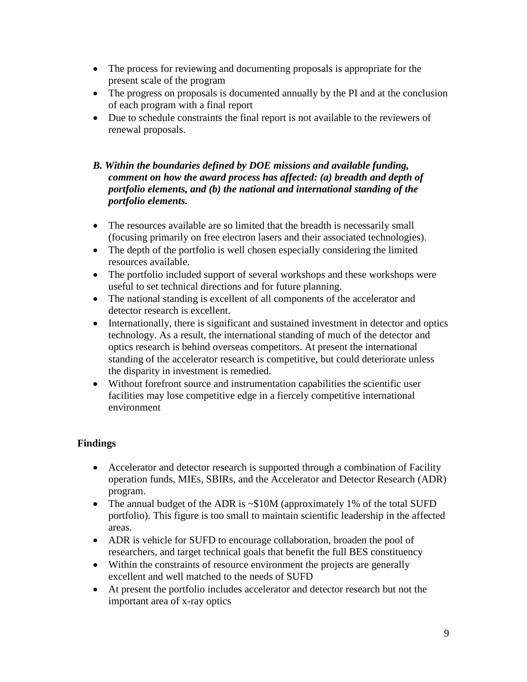- The process for reviewing and documenting proposals is appropriate for the present scale of the program
- The progress on proposals is documented annually by the PI and at the conclusion of each program with a final report
- Due to schedule constraints the final report is not available to the reviewers of renewal proposals.

## *B. Within the boundaries defined by DOE missions and available funding, comment on how the award process has affected: (a) breadth and depth of portfolio elements, and (b) the national and international standing of the portfolio elements.*

- The resources available are so limited that the breadth is necessarily small (focusing primarily on free electron lasers and their associated technologies).
- The depth of the portfolio is well chosen especially considering the limited resources available.
- The portfolio included support of several workshops and these workshops were useful to set technical directions and for future planning.
- The national standing is excellent of all components of the accelerator and detector research is excellent.
- Internationally, there is significant and sustained investment in detector and optics technology. As a result, the international standing of much of the detector and optics research is behind overseas competitors. At present the international standing of the accelerator research is competitive, but could deteriorate unless the disparity in investment is remedied.
- Without forefront source and instrumentation capabilities the scientific user facilities may lose competitive edge in a fiercely competitive international environment

# **Findings**

- Accelerator and detector research is supported through a combination of Facility operation funds, MIEs, SBIRs, and the Accelerator and Detector Research (ADR) program.
- The annual budget of the ADR is ~\$10M (approximately 1% of the total SUFD portfolio). This figure is too small to maintain scientific leadership in the affected areas.
- ADR is vehicle for SUFD to encourage collaboration, broaden the pool of researchers, and target technical goals that benefit the full BES constituency
- Within the constraints of resource environment the projects are generally excellent and well matched to the needs of SUFD
- At present the portfolio includes accelerator and detector research but not the important area of x-ray optics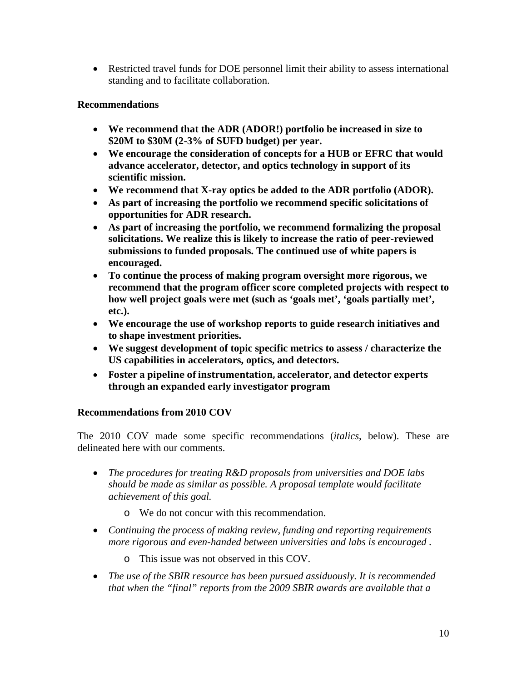• Restricted travel funds for DOE personnel limit their ability to assess international standing and to facilitate collaboration.

## **Recommendations**

- **We recommend that the ADR (ADOR!) portfolio be increased in size to \$20M to \$30M (2-3% of SUFD budget) per year.**
- **We encourage the consideration of concepts for a HUB or EFRC that would advance accelerator, detector, and optics technology in support of its scientific mission.**
- **We recommend that X-ray optics be added to the ADR portfolio (ADOR).**
- **As part of increasing the portfolio we recommend specific solicitations of opportunities for ADR research.**
- **As part of increasing the portfolio, we recommend formalizing the proposal solicitations. We realize this is likely to increase the ratio of peer-reviewed submissions to funded proposals. The continued use of white papers is encouraged.**
- **To continue the process of making program oversight more rigorous, we recommend that the program officer score completed projects with respect to how well project goals were met (such as 'goals met', 'goals partially met', etc.).**
- **We encourage the use of workshop reports to guide research initiatives and to shape investment priorities.**
- **We suggest development of topic specific metrics to assess / characterize the US capabilities in accelerators, optics, and detectors.**
- **Foster a pipeline of instrumentation, accelerator, and detector experts through an expanded early investigator program**

## **Recommendations from 2010 COV**

The 2010 COV made some specific recommendations (*italics*, below). These are delineated here with our comments.

- *The procedures for treating R&D proposals from universities and DOE labs should be made as similar as possible. A proposal template would facilitate achievement of this goal.* 
	- o We do not concur with this recommendation.
- *Continuing the process of making review, funding and reporting requirements more rigorous and even-handed between universities and labs is encouraged .*
	- o This issue was not observed in this COV.
- *The use of the SBIR resource has been pursued assiduously. It is recommended that when the "final" reports from the 2009 SBIR awards are available that a*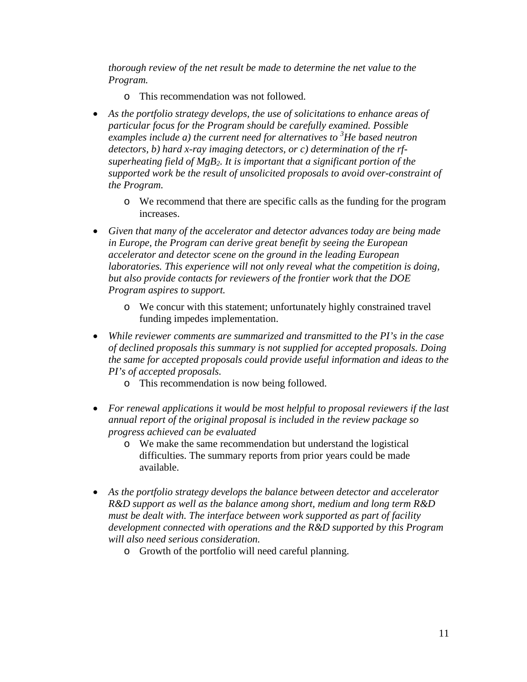*thorough review of the net result be made to determine the net value to the Program.* 

- o This recommendation was not followed.
- *As the portfolio strategy develops, the use of solicitations to enhance areas of particular focus for the Program should be carefully examined. Possible examples include a) the current need for alternatives to 3 He based neutron detectors, b) hard x-ray imaging detectors, or c) determination of the rfsuperheating field of MgB2. It is important that a significant portion of the supported work be the result of unsolicited proposals to avoid over-constraint of the Program.*
	- o We recommend that there are specific calls as the funding for the program increases.
- *Given that many of the accelerator and detector advances today are being made in Europe, the Program can derive great benefit by seeing the European accelerator and detector scene on the ground in the leading European laboratories. This experience will not only reveal what the competition is doing, but also provide contacts for reviewers of the frontier work that the DOE Program aspires to support.*
	- o We concur with this statement; unfortunately highly constrained travel funding impedes implementation.
- *While reviewer comments are summarized and transmitted to the PI's in the case of declined proposals this summary is not supplied for accepted proposals. Doing the same for accepted proposals could provide useful information and ideas to the PI's of accepted proposals.* 
	- o This recommendation is now being followed.
- *For renewal applications it would be most helpful to proposal reviewers if the last annual report of the original proposal is included in the review package so progress achieved can be evaluated* 
	- o We make the same recommendation but understand the logistical difficulties. The summary reports from prior years could be made available.
- *As the portfolio strategy develops the balance between detector and accelerator R&D support as well as the balance among short, medium and long term R&D must be dealt with. The interface between work supported as part of facility development connected with operations and the R&D supported by this Program will also need serious consideration.*
	- o Growth of the portfolio will need careful planning.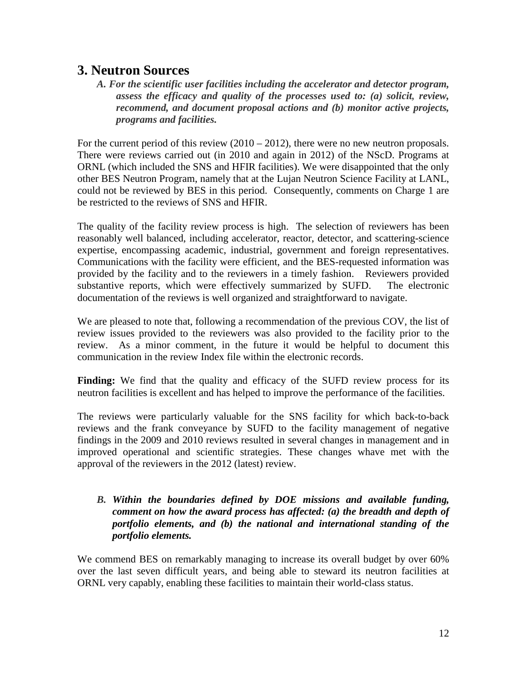# **3. Neutron Sources**

*A. For the scientific user facilities including the accelerator and detector program, assess the efficacy and quality of the processes used to: (a) solicit, review, recommend, and document proposal actions and (b) monitor active projects, programs and facilities.*

For the current period of this review  $(2010 - 2012)$ , there were no new neutron proposals. There were reviews carried out (in 2010 and again in 2012) of the NScD. Programs at ORNL (which included the SNS and HFIR facilities). We were disappointed that the only other BES Neutron Program, namely that at the Lujan Neutron Science Facility at LANL, could not be reviewed by BES in this period. Consequently, comments on Charge 1 are be restricted to the reviews of SNS and HFIR.

The quality of the facility review process is high. The selection of reviewers has been reasonably well balanced, including accelerator, reactor, detector, and scattering-science expertise, encompassing academic, industrial, government and foreign representatives. Communications with the facility were efficient, and the BES-requested information was provided by the facility and to the reviewers in a timely fashion. Reviewers provided substantive reports, which were effectively summarized by SUFD. The electronic documentation of the reviews is well organized and straightforward to navigate.

We are pleased to note that, following a recommendation of the previous COV, the list of review issues provided to the reviewers was also provided to the facility prior to the review. As a minor comment, in the future it would be helpful to document this communication in the review Index file within the electronic records.

**Finding:** We find that the quality and efficacy of the SUFD review process for its neutron facilities is excellent and has helped to improve the performance of the facilities.

The reviews were particularly valuable for the SNS facility for which back-to-back reviews and the frank conveyance by SUFD to the facility management of negative findings in the 2009 and 2010 reviews resulted in several changes in management and in improved operational and scientific strategies. These changes whave met with the approval of the reviewers in the 2012 (latest) review.

## *B. Within the boundaries defined by DOE missions and available funding, comment on how the award process has affected: (a) the breadth and depth of portfolio elements, and (b) the national and international standing of the portfolio elements.*

We commend BES on remarkably managing to increase its overall budget by over  $60\%$ over the last seven difficult years, and being able to steward its neutron facilities at ORNL very capably, enabling these facilities to maintain their world-class status.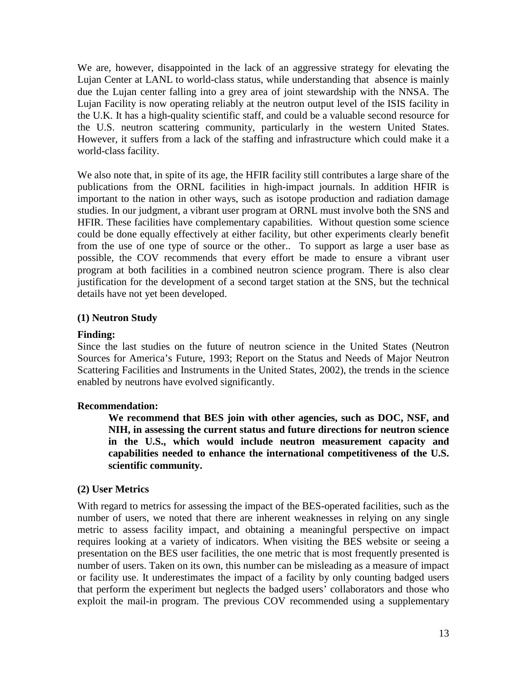We are, however, disappointed in the lack of an aggressive strategy for elevating the Lujan Center at LANL to world-class status, while understanding that absence is mainly due the Lujan center falling into a grey area of joint stewardship with the NNSA. The Lujan Facility is now operating reliably at the neutron output level of the ISIS facility in the U.K. It has a high-quality scientific staff, and could be a valuable second resource for the U.S. neutron scattering community, particularly in the western United States. However, it suffers from a lack of the staffing and infrastructure which could make it a world-class facility.

We also note that, in spite of its age, the HFIR facility still contributes a large share of the publications from the ORNL facilities in high-impact journals. In addition HFIR is important to the nation in other ways, such as isotope production and radiation damage studies. In our judgment, a vibrant user program at ORNL must involve both the SNS and HFIR. These facilities have complementary capabilities. Without question some science could be done equally effectively at either facility, but other experiments clearly benefit from the use of one type of source or the other.. To support as large a user base as possible, the COV recommends that every effort be made to ensure a vibrant user program at both facilities in a combined neutron science program. There is also clear justification for the development of a second target station at the SNS, but the technical details have not yet been developed.

#### **(1) Neutron Study**

#### **Finding:**

Since the last studies on the future of neutron science in the United States (Neutron Sources for America's Future, 1993; Report on the Status and Needs of Major Neutron Scattering Facilities and Instruments in the United States, 2002), the trends in the science enabled by neutrons have evolved significantly.

#### **Recommendation:**

**We recommend that BES join with other agencies, such as DOC, NSF, and NIH, in assessing the current status and future directions for neutron science in the U.S., which would include neutron measurement capacity and capabilities needed to enhance the international competitiveness of the U.S. scientific community.** 

#### **(2) User Metrics**

With regard to metrics for assessing the impact of the BES-operated facilities, such as the number of users, we noted that there are inherent weaknesses in relying on any single metric to assess facility impact, and obtaining a meaningful perspective on impact requires looking at a variety of indicators. When visiting the BES website or seeing a presentation on the BES user facilities, the one metric that is most frequently presented is number of users. Taken on its own, this number can be misleading as a measure of impact or facility use. It underestimates the impact of a facility by only counting badged users that perform the experiment but neglects the badged users' collaborators and those who exploit the mail-in program. The previous COV recommended using a supplementary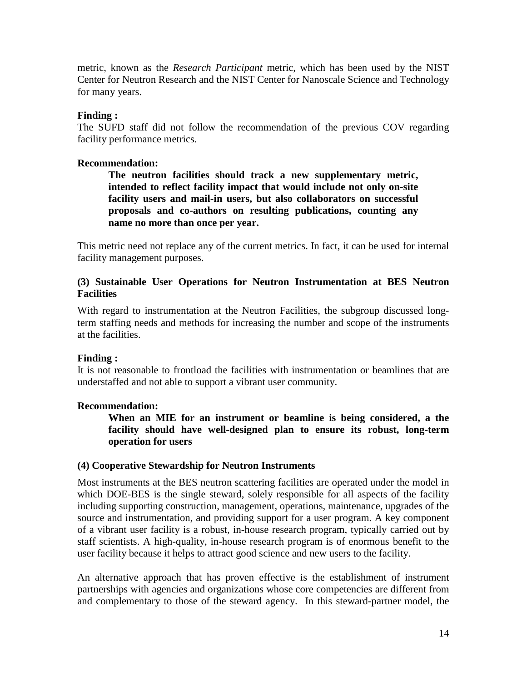metric, known as the *Research Participant* metric, which has been used by the NIST Center for Neutron Research and the NIST Center for Nanoscale Science and Technology for many years.

#### **Finding :**

The SUFD staff did not follow the recommendation of the previous COV regarding facility performance metrics.

#### **Recommendation:**

**The neutron facilities should track a new supplementary metric, intended to reflect facility impact that would include not only on-site facility users and mail-in users, but also collaborators on successful proposals and co-authors on resulting publications, counting any name no more than once per year.**

This metric need not replace any of the current metrics. In fact, it can be used for internal facility management purposes.

#### **(3) Sustainable User Operations for Neutron Instrumentation at BES Neutron Facilities**

With regard to instrumentation at the Neutron Facilities, the subgroup discussed longterm staffing needs and methods for increasing the number and scope of the instruments at the facilities.

## **Finding :**

It is not reasonable to frontload the facilities with instrumentation or beamlines that are understaffed and not able to support a vibrant user community.

#### **Recommendation:**

**When an MIE for an instrument or beamline is being considered, a the facility should have well-designed plan to ensure its robust, long-term operation for users**

#### **(4) Cooperative Stewardship for Neutron Instruments**

Most instruments at the BES neutron scattering facilities are operated under the model in which DOE-BES is the single steward, solely responsible for all aspects of the facility including supporting construction, management, operations, maintenance, upgrades of the source and instrumentation, and providing support for a user program. A key component of a vibrant user facility is a robust, in-house research program, typically carried out by staff scientists. A high-quality, in-house research program is of enormous benefit to the user facility because it helps to attract good science and new users to the facility.

An alternative approach that has proven effective is the establishment of instrument partnerships with agencies and organizations whose core competencies are different from and complementary to those of the steward agency. In this steward-partner model, the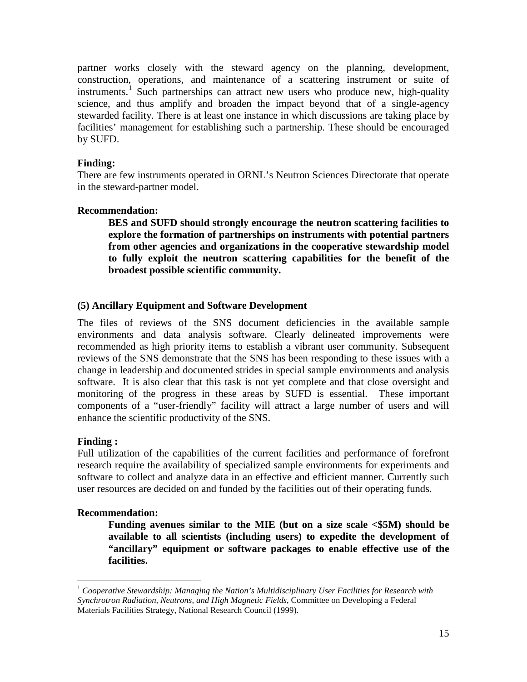partner works closely with the steward agency on the planning, development, construction, operations, and maintenance of a scattering instrument or suite of instruments.<sup>[1](#page-14-0)</sup> Such partnerships can attract new users who produce new, high-quality science, and thus amplify and broaden the impact beyond that of a single-agency stewarded facility. There is at least one instance in which discussions are taking place by facilities' management for establishing such a partnership. These should be encouraged by SUFD.

#### **Finding:**

There are few instruments operated in ORNL's Neutron Sciences Directorate that operate in the steward-partner model.

#### **Recommendation:**

**BES and SUFD should strongly encourage the neutron scattering facilities to explore the formation of partnerships on instruments with potential partners from other agencies and organizations in the cooperative stewardship model to fully exploit the neutron scattering capabilities for the benefit of the broadest possible scientific community.**

#### **(5) Ancillary Equipment and Software Development**

The files of reviews of the SNS document deficiencies in the available sample environments and data analysis software. Clearly delineated improvements were recommended as high priority items to establish a vibrant user community. Subsequent reviews of the SNS demonstrate that the SNS has been responding to these issues with a change in leadership and documented strides in special sample environments and analysis software. It is also clear that this task is not yet complete and that close oversight and monitoring of the progress in these areas by SUFD is essential. These important components of a "user-friendly" facility will attract a large number of users and will enhance the scientific productivity of the SNS.

#### **Finding :**

Full utilization of the capabilities of the current facilities and performance of forefront research require the availability of specialized sample environments for experiments and software to collect and analyze data in an effective and efficient manner. Currently such user resources are decided on and funded by the facilities out of their operating funds.

#### **Recommendation:**

**Funding avenues similar to the MIE (but on a size scale <\$5M) should be available to all scientists (including users) to expedite the development of "ancillary" equipment or software packages to enable effective use of the facilities.**

<span id="page-14-0"></span> <sup>1</sup> *Cooperative Stewardship: Managing the Nation's Multidisciplinary User Facilities for Research with Synchrotron Radiation, Neutrons, and High Magnetic Fields*, Committee on Developing a Federal Materials Facilities Strategy, National Research Council (1999).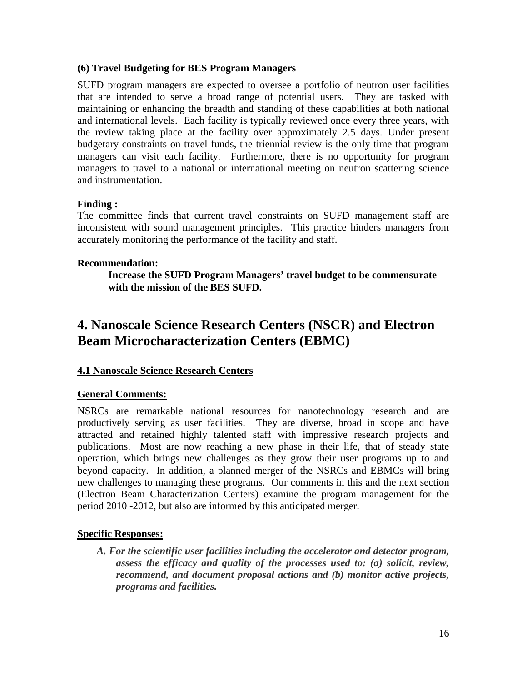#### **(6) Travel Budgeting for BES Program Managers**

SUFD program managers are expected to oversee a portfolio of neutron user facilities that are intended to serve a broad range of potential users. They are tasked with maintaining or enhancing the breadth and standing of these capabilities at both national and international levels. Each facility is typically reviewed once every three years, with the review taking place at the facility over approximately 2.5 days. Under present budgetary constraints on travel funds, the triennial review is the only time that program managers can visit each facility. Furthermore, there is no opportunity for program managers to travel to a national or international meeting on neutron scattering science and instrumentation.

#### **Finding :**

The committee finds that current travel constraints on SUFD management staff are inconsistent with sound management principles. This practice hinders managers from accurately monitoring the performance of the facility and staff.

#### **Recommendation:**

**Increase the SUFD Program Managers' travel budget to be commensurate with the mission of the BES SUFD.**

# **4. Nanoscale Science Research Centers (NSCR) and Electron Beam Microcharacterization Centers (EBMC)**

## **4.1 Nanoscale Science Research Centers**

## **General Comments:**

NSRCs are remarkable national resources for nanotechnology research and are productively serving as user facilities. They are diverse, broad in scope and have attracted and retained highly talented staff with impressive research projects and publications. Most are now reaching a new phase in their life, that of steady state operation, which brings new challenges as they grow their user programs up to and beyond capacity. In addition, a planned merger of the NSRCs and EBMCs will bring new challenges to managing these programs. Our comments in this and the next section (Electron Beam Characterization Centers) examine the program management for the period 2010 -2012, but also are informed by this anticipated merger.

#### **Specific Responses:**

*A. For the scientific user facilities including the accelerator and detector program, assess the efficacy and quality of the processes used to: (a) solicit, review, recommend, and document proposal actions and (b) monitor active projects, programs and facilities.*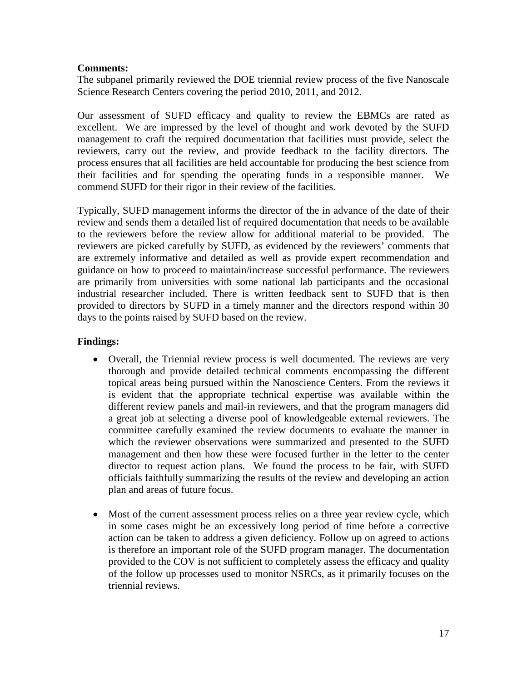#### **Comments:**

The subpanel primarily reviewed the DOE triennial review process of the five Nanoscale Science Research Centers covering the period 2010, 2011, and 2012.

Our assessment of SUFD efficacy and quality to review the EBMCs are rated as excellent. We are impressed by the level of thought and work devoted by the SUFD management to craft the required documentation that facilities must provide, select the reviewers, carry out the review, and provide feedback to the facility directors. The process ensures that all facilities are held accountable for producing the best science from their facilities and for spending the operating funds in a responsible manner. We commend SUFD for their rigor in their review of the facilities.

Typically, SUFD management informs the director of the in advance of the date of their review and sends them a detailed list of required documentation that needs to be available to the reviewers before the review allow for additional material to be provided. The reviewers are picked carefully by SUFD, as evidenced by the reviewers' comments that are extremely informative and detailed as well as provide expert recommendation and guidance on how to proceed to maintain/increase successful performance. The reviewers are primarily from universities with some national lab participants and the occasional industrial researcher included. There is written feedback sent to SUFD that is then provided to directors by SUFD in a timely manner and the directors respond within 30 days to the points raised by SUFD based on the review.

#### **Findings:**

- Overall, the Triennial review process is well documented. The reviews are very thorough and provide detailed technical comments encompassing the different topical areas being pursued within the Nanoscience Centers. From the reviews it is evident that the appropriate technical expertise was available within the different review panels and mail-in reviewers, and that the program managers did a great job at selecting a diverse pool of knowledgeable external reviewers. The committee carefully examined the review documents to evaluate the manner in which the reviewer observations were summarized and presented to the SUFD management and then how these were focused further in the letter to the center director to request action plans. We found the process to be fair, with SUFD officials faithfully summarizing the results of the review and developing an action plan and areas of future focus.
- Most of the current assessment process relies on a three year review cycle, which in some cases might be an excessively long period of time before a corrective action can be taken to address a given deficiency. Follow up on agreed to actions is therefore an important role of the SUFD program manager. The documentation provided to the COV is not sufficient to completely assess the efficacy and quality of the follow up processes used to monitor NSRCs, as it primarily focuses on the triennial reviews.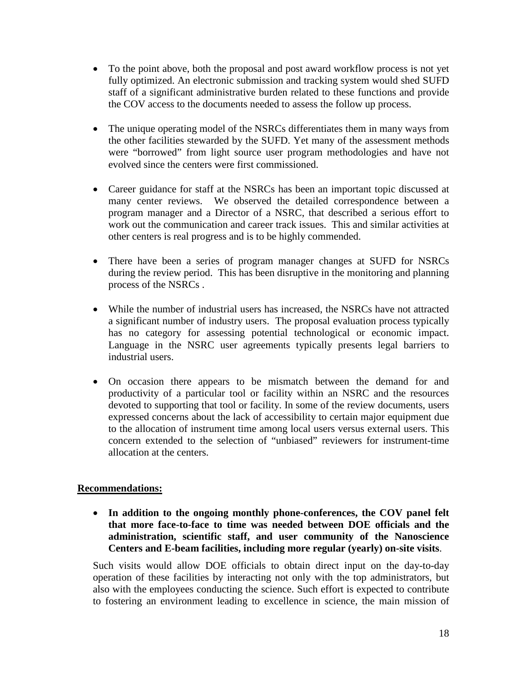- To the point above, both the proposal and post award workflow process is not yet fully optimized. An electronic submission and tracking system would shed SUFD staff of a significant administrative burden related to these functions and provide the COV access to the documents needed to assess the follow up process.
- The unique operating model of the NSRCs differentiates them in many ways from the other facilities stewarded by the SUFD. Yet many of the assessment methods were "borrowed" from light source user program methodologies and have not evolved since the centers were first commissioned.
- Career guidance for staff at the NSRCs has been an important topic discussed at many center reviews. We observed the detailed correspondence between a program manager and a Director of a NSRC, that described a serious effort to work out the communication and career track issues. This and similar activities at other centers is real progress and is to be highly commended.
- There have been a series of program manager changes at SUFD for NSRCs during the review period. This has been disruptive in the monitoring and planning process of the NSRCs .
- While the number of industrial users has increased, the NSRCs have not attracted a significant number of industry users. The proposal evaluation process typically has no category for assessing potential technological or economic impact. Language in the NSRC user agreements typically presents legal barriers to industrial users.
- On occasion there appears to be mismatch between the demand for and productivity of a particular tool or facility within an NSRC and the resources devoted to supporting that tool or facility. In some of the review documents, users expressed concerns about the lack of accessibility to certain major equipment due to the allocation of instrument time among local users versus external users. This concern extended to the selection of "unbiased" reviewers for instrument-time allocation at the centers.

#### **Recommendations:**

• **In addition to the ongoing monthly phone-conferences, the COV panel felt that more face-to-face to time was needed between DOE officials and the administration, scientific staff, and user community of the Nanoscience Centers and E-beam facilities, including more regular (yearly) on-site visits**.

Such visits would allow DOE officials to obtain direct input on the day-to-day operation of these facilities by interacting not only with the top administrators, but also with the employees conducting the science. Such effort is expected to contribute to fostering an environment leading to excellence in science, the main mission of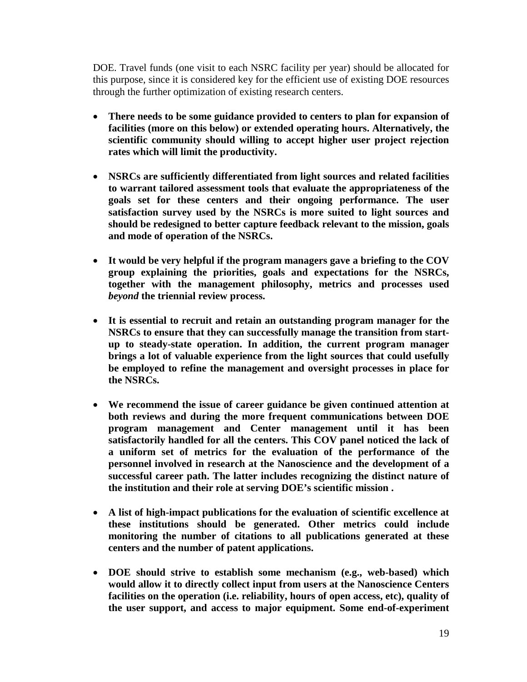DOE. Travel funds (one visit to each NSRC facility per year) should be allocated for this purpose, since it is considered key for the efficient use of existing DOE resources through the further optimization of existing research centers.

- **There needs to be some guidance provided to centers to plan for expansion of facilities (more on this below) or extended operating hours. Alternatively, the scientific community should willing to accept higher user project rejection rates which will limit the productivity.**
- **NSRCs are sufficiently differentiated from light sources and related facilities to warrant tailored assessment tools that evaluate the appropriateness of the goals set for these centers and their ongoing performance. The user satisfaction survey used by the NSRCs is more suited to light sources and should be redesigned to better capture feedback relevant to the mission, goals and mode of operation of the NSRCs.**
- **It would be very helpful if the program managers gave a briefing to the COV group explaining the priorities, goals and expectations for the NSRCs, together with the management philosophy, metrics and processes used**  *beyond* **the triennial review process.**
- **It is essential to recruit and retain an outstanding program manager for the NSRCs to ensure that they can successfully manage the transition from startup to steady-state operation. In addition, the current program manager brings a lot of valuable experience from the light sources that could usefully be employed to refine the management and oversight processes in place for the NSRCs.**
- **We recommend the issue of career guidance be given continued attention at both reviews and during the more frequent communications between DOE program management and Center management until it has been satisfactorily handled for all the centers. This COV panel noticed the lack of a uniform set of metrics for the evaluation of the performance of the personnel involved in research at the Nanoscience and the development of a successful career path. The latter includes recognizing the distinct nature of the institution and their role at serving DOE's scientific mission .**
- **A list of high-impact publications for the evaluation of scientific excellence at these institutions should be generated. Other metrics could include monitoring the number of citations to all publications generated at these centers and the number of patent applications.**
- **DOE should strive to establish some mechanism (e.g., web-based) which would allow it to directly collect input from users at the Nanoscience Centers facilities on the operation (i.e. reliability, hours of open access, etc), quality of the user support, and access to major equipment. Some end-of-experiment**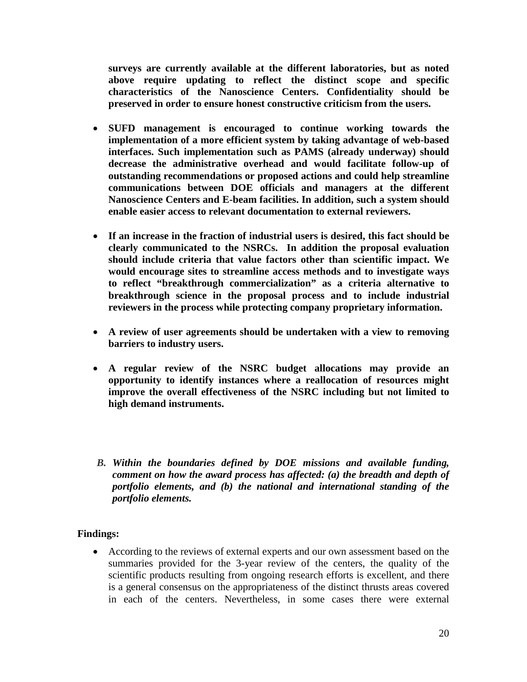**surveys are currently available at the different laboratories, but as noted above require updating to reflect the distinct scope and specific characteristics of the Nanoscience Centers. Confidentiality should be preserved in order to ensure honest constructive criticism from the users.**

- **SUFD management is encouraged to continue working towards the implementation of a more efficient system by taking advantage of web-based interfaces. Such implementation such as PAMS (already underway) should decrease the administrative overhead and would facilitate follow-up of outstanding recommendations or proposed actions and could help streamline communications between DOE officials and managers at the different Nanoscience Centers and E-beam facilities. In addition, such a system should enable easier access to relevant documentation to external reviewers.**
- **If an increase in the fraction of industrial users is desired, this fact should be clearly communicated to the NSRCs. In addition the proposal evaluation should include criteria that value factors other than scientific impact. We would encourage sites to streamline access methods and to investigate ways to reflect "breakthrough commercialization" as a criteria alternative to breakthrough science in the proposal process and to include industrial reviewers in the process while protecting company proprietary information.**
- **A review of user agreements should be undertaken with a view to removing barriers to industry users.**
- **A regular review of the NSRC budget allocations may provide an opportunity to identify instances where a reallocation of resources might improve the overall effectiveness of the NSRC including but not limited to high demand instruments.**
- *B. Within the boundaries defined by DOE missions and available funding, comment on how the award process has affected: (a) the breadth and depth of portfolio elements, and (b) the national and international standing of the portfolio elements.*

#### **Findings:**

• According to the reviews of external experts and our own assessment based on the summaries provided for the 3-year review of the centers, the quality of the scientific products resulting from ongoing research efforts is excellent, and there is a general consensus on the appropriateness of the distinct thrusts areas covered in each of the centers. Nevertheless, in some cases there were external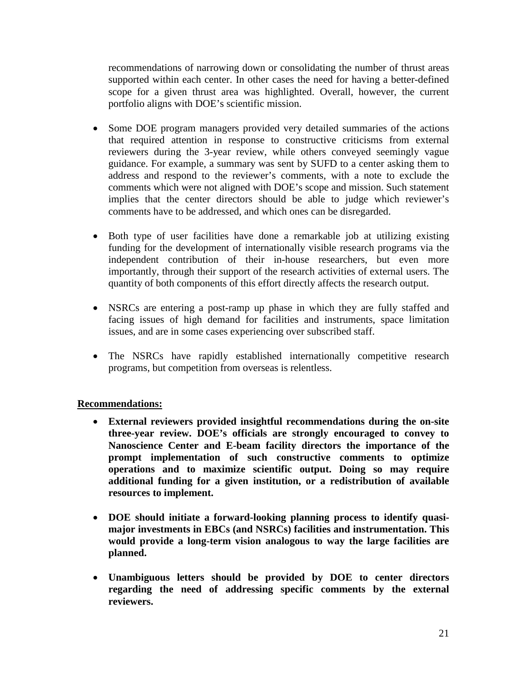recommendations of narrowing down or consolidating the number of thrust areas supported within each center. In other cases the need for having a better-defined scope for a given thrust area was highlighted. Overall, however, the current portfolio aligns with DOE's scientific mission.

- Some DOE program managers provided very detailed summaries of the actions that required attention in response to constructive criticisms from external reviewers during the 3-year review, while others conveyed seemingly vague guidance. For example, a summary was sent by SUFD to a center asking them to address and respond to the reviewer's comments, with a note to exclude the comments which were not aligned with DOE's scope and mission. Such statement implies that the center directors should be able to judge which reviewer's comments have to be addressed, and which ones can be disregarded.
- Both type of user facilities have done a remarkable job at utilizing existing funding for the development of internationally visible research programs via the independent contribution of their in-house researchers, but even more importantly, through their support of the research activities of external users. The quantity of both components of this effort directly affects the research output.
- NSRCs are entering a post-ramp up phase in which they are fully staffed and facing issues of high demand for facilities and instruments, space limitation issues, and are in some cases experiencing over subscribed staff.
- The NSRCs have rapidly established internationally competitive research programs, but competition from overseas is relentless.

## **Recommendations:**

- **External reviewers provided insightful recommendations during the on-site three-year review. DOE's officials are strongly encouraged to convey to Nanoscience Center and E-beam facility directors the importance of the prompt implementation of such constructive comments to optimize operations and to maximize scientific output. Doing so may require additional funding for a given institution, or a redistribution of available resources to implement.**
- **DOE should initiate a forward-looking planning process to identify quasimajor investments in EBCs (and NSRCs) facilities and instrumentation. This would provide a long-term vision analogous to way the large facilities are planned.**
- **Unambiguous letters should be provided by DOE to center directors regarding the need of addressing specific comments by the external reviewers.**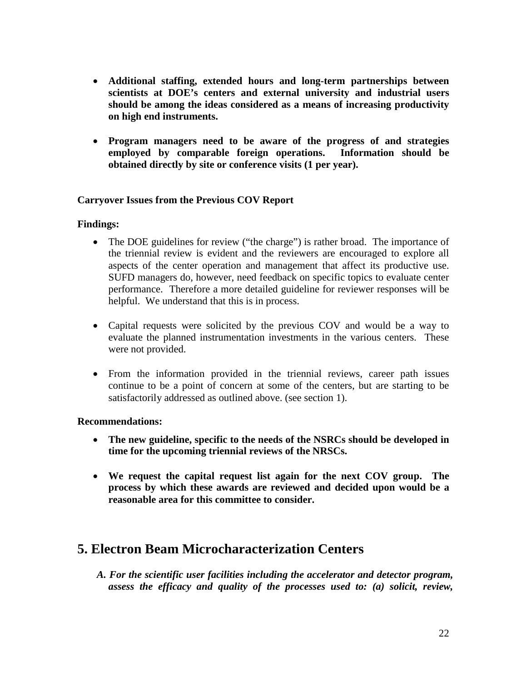- **Additional staffing, extended hours and long-term partnerships between scientists at DOE's centers and external university and industrial users should be among the ideas considered as a means of increasing productivity on high end instruments.**
- **Program managers need to be aware of the progress of and strategies employed by comparable foreign operations. Information should be obtained directly by site or conference visits (1 per year).**

#### **Carryover Issues from the Previous COV Report**

#### **Findings:**

- The DOE guidelines for review ("the charge") is rather broad. The importance of the triennial review is evident and the reviewers are encouraged to explore all aspects of the center operation and management that affect its productive use. SUFD managers do, however, need feedback on specific topics to evaluate center performance. Therefore a more detailed guideline for reviewer responses will be helpful. We understand that this is in process.
- Capital requests were solicited by the previous COV and would be a way to evaluate the planned instrumentation investments in the various centers. These were not provided.
- From the information provided in the triennial reviews, career path issues continue to be a point of concern at some of the centers, but are starting to be satisfactorily addressed as outlined above. (see section 1).

#### **Recommendations:**

- **The new guideline, specific to the needs of the NSRCs should be developed in time for the upcoming triennial reviews of the NRSCs.**
- **We request the capital request list again for the next COV group. The process by which these awards are reviewed and decided upon would be a reasonable area for this committee to consider.**

# **5. Electron Beam Microcharacterization Centers**

*A. For the scientific user facilities including the accelerator and detector program, assess the efficacy and quality of the processes used to: (a) solicit, review,*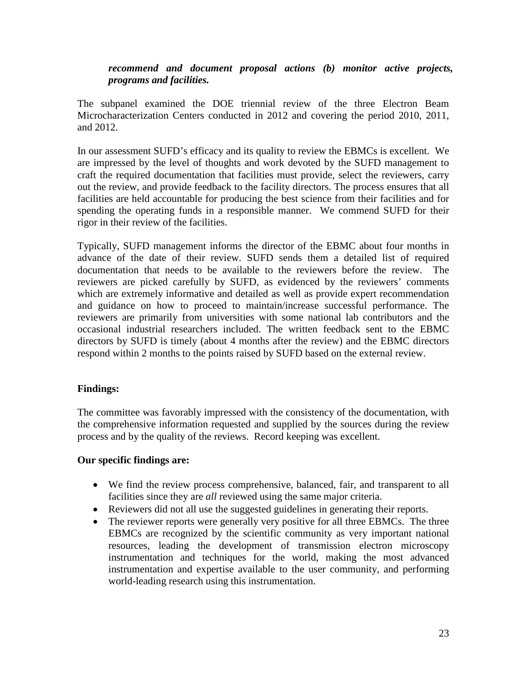#### *recommend and document proposal actions (b) monitor active projects, programs and facilities.*

The subpanel examined the DOE triennial review of the three Electron Beam Microcharacterization Centers conducted in 2012 and covering the period 2010, 2011, and 2012.

In our assessment SUFD's efficacy and its quality to review the EBMCs is excellent. We are impressed by the level of thoughts and work devoted by the SUFD management to craft the required documentation that facilities must provide, select the reviewers, carry out the review, and provide feedback to the facility directors. The process ensures that all facilities are held accountable for producing the best science from their facilities and for spending the operating funds in a responsible manner. We commend SUFD for their rigor in their review of the facilities.

Typically, SUFD management informs the director of the EBMC about four months in advance of the date of their review. SUFD sends them a detailed list of required documentation that needs to be available to the reviewers before the review. The reviewers are picked carefully by SUFD, as evidenced by the reviewers' comments which are extremely informative and detailed as well as provide expert recommendation and guidance on how to proceed to maintain/increase successful performance. The reviewers are primarily from universities with some national lab contributors and the occasional industrial researchers included. The written feedback sent to the EBMC directors by SUFD is timely (about 4 months after the review) and the EBMC directors respond within 2 months to the points raised by SUFD based on the external review.

#### **Findings:**

The committee was favorably impressed with the consistency of the documentation, with the comprehensive information requested and supplied by the sources during the review process and by the quality of the reviews. Record keeping was excellent.

#### **Our specific findings are:**

- We find the review process comprehensive, balanced, fair, and transparent to all facilities since they are *all* reviewed using the same major criteria.
- Reviewers did not all use the suggested guidelines in generating their reports.
- The reviewer reports were generally very positive for all three EBMCs. The three EBMCs are recognized by the scientific community as very important national resources, leading the development of transmission electron microscopy instrumentation and techniques for the world, making the most advanced instrumentation and expertise available to the user community, and performing world-leading research using this instrumentation.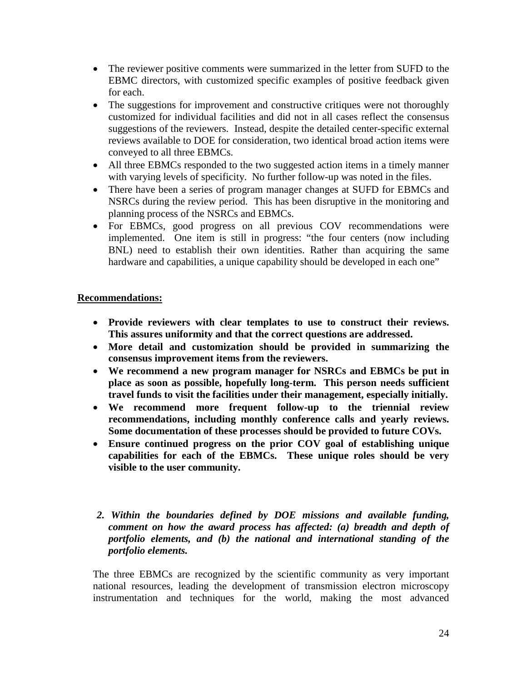- The reviewer positive comments were summarized in the letter from SUFD to the EBMC directors, with customized specific examples of positive feedback given for each.
- The suggestions for improvement and constructive critiques were not thoroughly customized for individual facilities and did not in all cases reflect the consensus suggestions of the reviewers. Instead, despite the detailed center-specific external reviews available to DOE for consideration, two identical broad action items were conveyed to all three EBMCs.
- All three EBMCs responded to the two suggested action items in a timely manner with varying levels of specificity. No further follow-up was noted in the files.
- There have been a series of program manager changes at SUFD for EBMCs and NSRCs during the review period. This has been disruptive in the monitoring and planning process of the NSRCs and EBMCs.
- For EBMCs, good progress on all previous COV recommendations were implemented. One item is still in progress: "the four centers (now including BNL) need to establish their own identities. Rather than acquiring the same hardware and capabilities, a unique capability should be developed in each one"

## **Recommendations:**

- **Provide reviewers with clear templates to use to construct their reviews. This assures uniformity and that the correct questions are addressed.**
- **More detail and customization should be provided in summarizing the consensus improvement items from the reviewers.**
- **We recommend a new program manager for NSRCs and EBMCs be put in place as soon as possible, hopefully long-term. This person needs sufficient travel funds to visit the facilities under their management, especially initially.**
- **We recommend more frequent follow-up to the triennial review recommendations, including monthly conference calls and yearly reviews. Some documentation of these processes should be provided to future COVs.**
- **Ensure continued progress on the prior COV goal of establishing unique capabilities for each of the EBMCs. These unique roles should be very visible to the user community.**
- *2. Within the boundaries defined by DOE missions and available funding, comment on how the award process has affected: (a) breadth and depth of portfolio elements, and (b) the national and international standing of the portfolio elements.*

The three EBMCs are recognized by the scientific community as very important national resources, leading the development of transmission electron microscopy instrumentation and techniques for the world, making the most advanced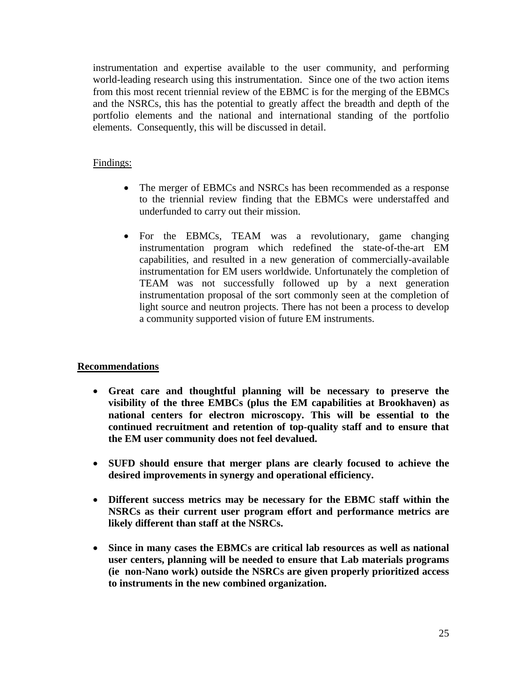instrumentation and expertise available to the user community, and performing world-leading research using this instrumentation. Since one of the two action items from this most recent triennial review of the EBMC is for the merging of the EBMCs and the NSRCs, this has the potential to greatly affect the breadth and depth of the portfolio elements and the national and international standing of the portfolio elements. Consequently, this will be discussed in detail.

#### Findings:

- The merger of EBMCs and NSRCs has been recommended as a response to the triennial review finding that the EBMCs were understaffed and underfunded to carry out their mission.
- For the EBMCs, TEAM was a revolutionary, game changing instrumentation program which redefined the state-of-the-art EM capabilities, and resulted in a new generation of commercially-available instrumentation for EM users worldwide. Unfortunately the completion of TEAM was not successfully followed up by a next generation instrumentation proposal of the sort commonly seen at the completion of light source and neutron projects. There has not been a process to develop a community supported vision of future EM instruments.

## **Recommendations**

- **Great care and thoughtful planning will be necessary to preserve the visibility of the three EMBCs (plus the EM capabilities at Brookhaven) as national centers for electron microscopy. This will be essential to the continued recruitment and retention of top-quality staff and to ensure that the EM user community does not feel devalued.**
- **SUFD should ensure that merger plans are clearly focused to achieve the desired improvements in synergy and operational efficiency.**
- **Different success metrics may be necessary for the EBMC staff within the NSRCs as their current user program effort and performance metrics are likely different than staff at the NSRCs.**
- **Since in many cases the EBMCs are critical lab resources as well as national user centers, planning will be needed to ensure that Lab materials programs (ie non-Nano work) outside the NSRCs are given properly prioritized access to instruments in the new combined organization.**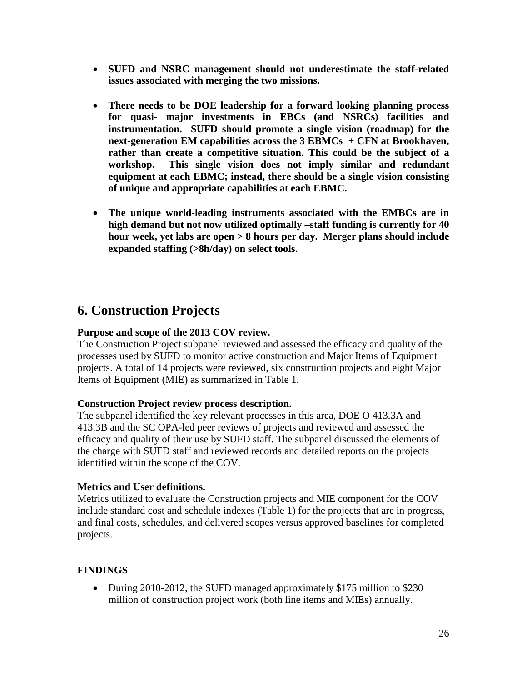- **SUFD and NSRC management should not underestimate the staff-related issues associated with merging the two missions.**
- **There needs to be DOE leadership for a forward looking planning process for quasi- major investments in EBCs (and NSRCs) facilities and instrumentation. SUFD should promote a single vision (roadmap) for the next-generation EM capabilities across the 3 EBMCs + CFN at Brookhaven, rather than create a competitive situation. This could be the subject of a workshop. This single vision does not imply similar and redundant equipment at each EBMC; instead, there should be a single vision consisting of unique and appropriate capabilities at each EBMC.**
- **The unique world-leading instruments associated with the EMBCs are in high demand but not now utilized optimally –staff funding is currently for 40 hour week, yet labs are open > 8 hours per day. Merger plans should include expanded staffing (>8h/day) on select tools.**

# **6. Construction Projects**

## **Purpose and scope of the 2013 COV review.**

The Construction Project subpanel reviewed and assessed the efficacy and quality of the processes used by SUFD to monitor active construction and Major Items of Equipment projects. A total of 14 projects were reviewed, six construction projects and eight Major Items of Equipment (MIE) as summarized in Table 1.

#### **Construction Project review process description.**

The subpanel identified the key relevant processes in this area, DOE O 413.3A and 413.3B and the SC OPA-led peer reviews of projects and reviewed and assessed the efficacy and quality of their use by SUFD staff. The subpanel discussed the elements of the charge with SUFD staff and reviewed records and detailed reports on the projects identified within the scope of the COV.

#### **Metrics and User definitions.**

Metrics utilized to evaluate the Construction projects and MIE component for the COV include standard cost and schedule indexes (Table 1) for the projects that are in progress, and final costs, schedules, and delivered scopes versus approved baselines for completed projects.

## **FINDINGS**

• During 2010-2012, the SUFD managed approximately \$175 million to \$230 million of construction project work (both line items and MIEs) annually.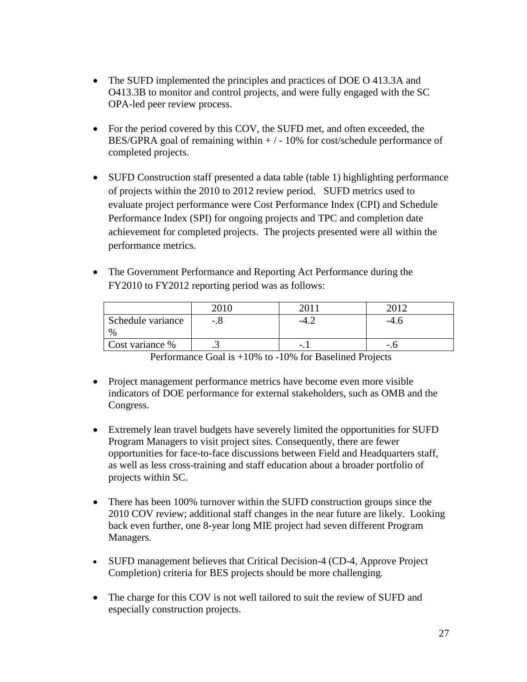- The SUFD implemented the principles and practices of DOE O 413.3A and O413.3B to monitor and control projects, and were fully engaged with the SC OPA-led peer review process.
- For the period covered by this COV, the SUFD met, and often exceeded, the BES/GPRA goal of remaining within  $+/-10\%$  for cost/schedule performance of completed projects.
- SUFD Construction staff presented a data table (table 1) highlighting performance of projects within the 2010 to 2012 review period. SUFD metrics used to evaluate project performance were Cost Performance Index (CPI) and Schedule Performance Index (SPI) for ongoing projects and TPC and completion date achievement for completed projects. The projects presented were all within the performance metrics.
- The Government Performance and Reporting Act Performance during the FY2010 to FY2012 reporting period was as follows:

|                   | 2010    | 201          |      |
|-------------------|---------|--------------|------|
| Schedule variance | -.0     |              | -4.U |
| $\%$              |         |              |      |
| Cost variance %   | $\cdot$ | $\mathbf{L}$ | - 1  |

Performance Goal is +10% to -10% for Baselined Projects

- Project management performance metrics have become even more visible indicators of DOE performance for external stakeholders, such as OMB and the Congress.
- Extremely lean travel budgets have severely limited the opportunities for SUFD Program Managers to visit project sites. Consequently, there are fewer opportunities for face-to-face discussions between Field and Headquarters staff, as well as less cross-training and staff education about a broader portfolio of projects within SC.
- There has been 100% turnover within the SUFD construction groups since the 2010 COV review; additional staff changes in the near future are likely. Looking back even further, one 8-year long MIE project had seven different Program Managers.
- SUFD management believes that Critical Decision-4 (CD-4, Approve Project Completion) criteria for BES projects should be more challenging.
- The charge for this COV is not well tailored to suit the review of SUFD and especially construction projects.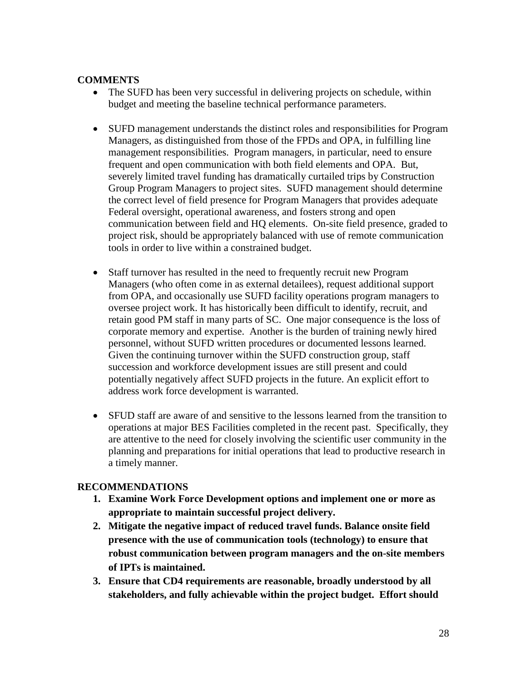#### **COMMENTS**

- The SUFD has been very successful in delivering projects on schedule, within budget and meeting the baseline technical performance parameters.
- SUFD management understands the distinct roles and responsibilities for Program Managers, as distinguished from those of the FPDs and OPA, in fulfilling line management responsibilities. Program managers, in particular, need to ensure frequent and open communication with both field elements and OPA. But, severely limited travel funding has dramatically curtailed trips by Construction Group Program Managers to project sites. SUFD management should determine the correct level of field presence for Program Managers that provides adequate Federal oversight, operational awareness, and fosters strong and open communication between field and HQ elements. On-site field presence, graded to project risk, should be appropriately balanced with use of remote communication tools in order to live within a constrained budget.
- Staff turnover has resulted in the need to frequently recruit new Program Managers (who often come in as external detailees), request additional support from OPA, and occasionally use SUFD facility operations program managers to oversee project work. It has historically been difficult to identify, recruit, and retain good PM staff in many parts of SC. One major consequence is the loss of corporate memory and expertise. Another is the burden of training newly hired personnel, without SUFD written procedures or documented lessons learned. Given the continuing turnover within the SUFD construction group, staff succession and workforce development issues are still present and could potentially negatively affect SUFD projects in the future. An explicit effort to address work force development is warranted.
- SFUD staff are aware of and sensitive to the lessons learned from the transition to operations at major BES Facilities completed in the recent past. Specifically, they are attentive to the need for closely involving the scientific user community in the planning and preparations for initial operations that lead to productive research in a timely manner.

## **RECOMMENDATIONS**

- **1. Examine Work Force Development options and implement one or more as appropriate to maintain successful project delivery.**
- **2. Mitigate the negative impact of reduced travel funds. Balance onsite field presence with the use of communication tools (technology) to ensure that robust communication between program managers and the on-site members of IPTs is maintained.**
- **3. Ensure that CD4 requirements are reasonable, broadly understood by all stakeholders, and fully achievable within the project budget. Effort should**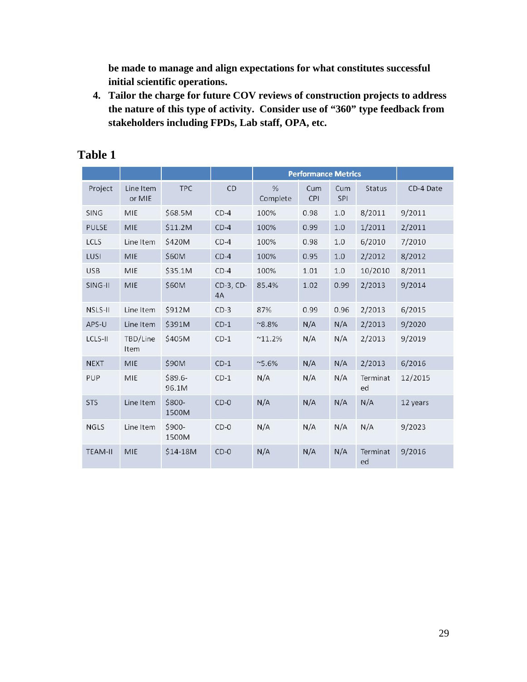**be made to manage and align expectations for what constitutes successful initial scientific operations.** 

**4. Tailor the charge for future COV reviews of construction projects to address the nature of this type of activity. Consider use of "360" type feedback from stakeholders including FPDs, Lab staff, OPA, etc.** 

|                |                     |                  |                 | <b>Performance Metrics</b> |            |            |                |           |
|----------------|---------------------|------------------|-----------------|----------------------------|------------|------------|----------------|-----------|
| Project        | Line Item<br>or MIE | <b>TPC</b>       | CD              | %<br>Complete              | Cum<br>CPI | Cum<br>SPI | <b>Status</b>  | CD-4 Date |
| <b>SING</b>    | MIE                 | \$68.5M          | $CD-4$          | 100%                       | 0.98       | 1.0        | 8/2011         | 9/2011    |
| <b>PULSE</b>   | MIE                 | \$11.2M          | $CD-4$          | 100%                       | 0.99       | 1.0        | 1/2011         | 2/2011    |
| LCLS           | Line Item           | \$420M           | $CD-4$          | 100%                       | 0.98       | 1.0        | 6/2010         | 7/2010    |
| LUSI           | MIE                 | \$60M            | $CD-4$          | 100%                       | 0.95       | 1.0        | 2/2012         | 8/2012    |
| <b>USB</b>     | MIE                 | \$35.1M          | $CD-4$          | 100%                       | 1.01       | 1.0        | 10/2010        | 8/2011    |
| SING-II        | MIE                 | \$60M            | CD-3, CD-<br>4A | 85.4%                      | 1.02       | 0.99       | 2/2013         | 9/2014    |
| NSLS-II        | Line Item           | \$912M           | $CD-3$          | 87%                        | 0.99       | 0.96       | 2/2013         | 6/2015    |
| APS-U          | Line Item           | \$391M           | $CD-1$          | $^{\sim}8.8\%$             | N/A        | N/A        | 2/2013         | 9/2020    |
| LCLS-II        | TBD/Line<br>Item    | \$405M           | $CD-1$          | $^{\sim}11.2\%$            | N/A        | N/A        | 2/2013         | 9/2019    |
| <b>NEXT</b>    | MIE                 | \$90M            | $CD-1$          | $~5.6\%$                   | N/A        | N/A        | 2/2013         | 6/2016    |
| PUP            | MIE                 | \$89.6-<br>96.1M | $CD-1$          | N/A                        | N/A        | N/A        | Terminat<br>ed | 12/2015   |
| <b>STS</b>     | Line Item           | \$800-<br>1500M  | $CD-0$          | N/A                        | N/A        | N/A        | N/A            | 12 years  |
| <b>NGLS</b>    | Line Item           | \$900-<br>1500M  | $CD-0$          | N/A                        | N/A        | N/A        | N/A            | 9/2023    |
| <b>TEAM-II</b> | MIE                 | \$14-18M         | $CD-0$          | N/A                        | N/A        | N/A        | Terminat<br>ed | 9/2016    |

# **Table 1**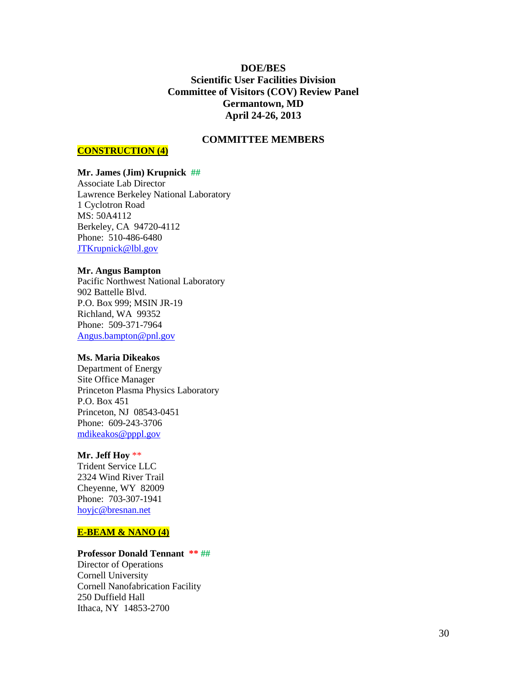#### **DOE/BES Scientific User Facilities Division Committee of Visitors (COV) Review Panel Germantown, MD April 24-26, 2013**

#### **COMMITTEE MEMBERS**

#### **CONSTRUCTION (4)**

#### **Mr. James (Jim) Krupnick ##**

Associate Lab Director Lawrence Berkeley National Laboratory 1 Cyclotron Road MS: 50A4112 Berkeley, CA 94720-4112 Phone: 510-486-6480 [JTKrupnick@lbl.gov](mailto:JTKrupnick@lbl.gov)

#### **Mr. Angus Bampton**

Pacific Northwest National Laboratory 902 Battelle Blvd. P.O. Box 999; MSIN JR-19 Richland, WA 99352 Phone: 509-371-7964 [Angus.bampton@pnl.gov](mailto:Angus.bampton@pnl.gov)

#### **Ms. Maria Dikeakos**

Department of Energy Site Office Manager Princeton Plasma Physics Laboratory P.O. Box 451 Princeton, NJ 08543-0451 Phone: 609-243-3706 [mdikeakos@pppl.gov](mailto:mdikeakos@pppl.gov)

#### **Mr. Jeff Hoy** \*\*

Trident Service LLC 2324 Wind River Trail Cheyenne, WY 82009 Phone: 703-307-1941 [hoyjc@bresnan.net](mailto:hoyjc@bresnan.net)

#### **E-BEAM & NANO (4)**

#### **Professor Donald Tennant \*\* ##**

Director of Operations Cornell University Cornell Nanofabrication Facility 250 Duffield Hall Ithaca, NY 14853-2700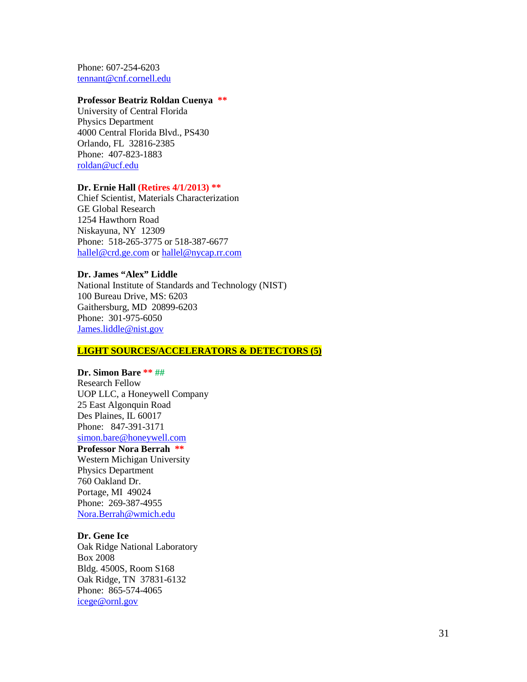Phone: 607-254-6203 [tennant@cnf.cornell.edu](mailto:tennant@cnf.cornell.edu)

#### **Professor Beatriz Roldan Cuenya \*\***

University of Central Florida Physics Department 4000 Central Florida Blvd., PS430 Orlando, FL 32816-2385 Phone: 407-823-1883 [roldan@ucf.edu](mailto:roldan@ucf.edu)

#### **Dr. Ernie Hall (Retires 4/1/2013) \*\***

Chief Scientist, Materials Characterization GE Global Research 1254 Hawthorn Road Niskayuna, NY 12309 Phone: 518-265-3775 or 518-387-6677 [hallel@crd.ge.com](mailto:hallel@crd.ge.com) or [hallel@nycap.rr.com](mailto:hallel@nycap.rr.com)

#### **Dr. James "Alex" Liddle**

National Institute of Standards and Technology (NIST) 100 Bureau Drive, MS: 6203 Gaithersburg, MD 20899-6203 Phone: 301-975-6050 [James.liddle@nist.gov](mailto:James.liddle@nist.gov)

#### **LIGHT SOURCES/ACCELERATORS & DETECTORS (5)**

#### **Dr. Simon Bare \*\* ##**

Research Fellow UOP LLC, a Honeywell Company 25 East Algonquin Road Des Plaines, IL 60017 Phone: 847-391-3171 [simon.bare@honeywell.com](mailto:simon.bare@honeywell.com)

#### **Professor Nora Berrah \*\***

Western Michigan University Physics Department 760 Oakland Dr. Portage, MI 49024 Phone: 269-387-4955 [Nora.Berrah@wmich.edu](mailto:Nora.Berrah@wmich.edu)

#### **Dr. Gene Ice**

Oak Ridge National Laboratory Box 2008 Bldg. 4500S, Room S168 Oak Ridge, TN 37831-6132 Phone: 865-574-4065 [icege@ornl.gov](mailto:icege@ornl.gov)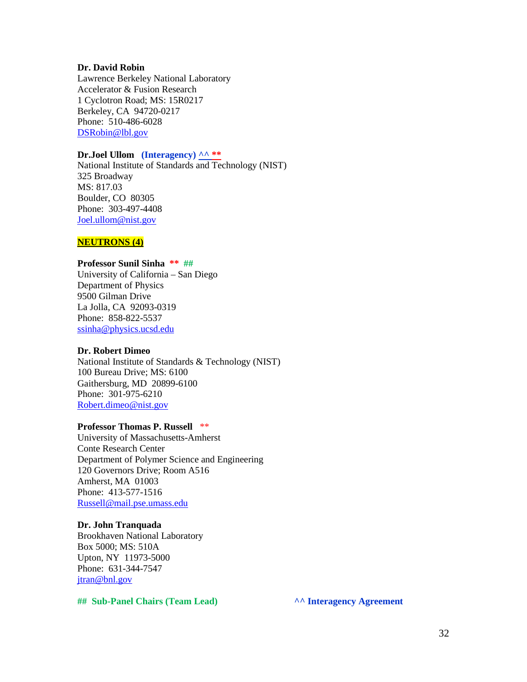#### **Dr. David Robin**

Lawrence Berkeley National Laboratory Accelerator & Fusion Research 1 Cyclotron Road; MS: 15R0217 Berkeley, CA 94720-0217 Phone: 510-486-6028 [DSRobin@lbl.gov](mailto:DSRobin@lbl.gov)

#### **Dr.Joel Ullom (Interagency) ^^ \*\***

National Institute of Standards and Technology (NIST) 325 Broadway MS: 817.03 Boulder, CO 80305 Phone: 303-497-4408 [Joel.ullom@nist.gov](mailto:Joel.ullom@nist.gov)

#### **NEUTRONS (4)**

#### **Professor Sunil Sinha \*\* ##**

University of California – San Diego Department of Physics 9500 Gilman Drive La Jolla, CA 92093-0319 Phone: 858-822-5537 [ssinha@physics.ucsd.edu](mailto:ssinha@physics.ucsd.edu)

#### **Dr. Robert Dimeo**

National Institute of Standards & Technology (NIST) 100 Bureau Drive; MS: 6100 Gaithersburg, MD 20899-6100 Phone: 301-975-6210 [Robert.dimeo@nist.gov](mailto:Robert.dimeo@nist.gov)

#### **Professor Thomas P. Russell** \*\*

University of Massachusetts-Amherst Conte Research Center Department of Polymer Science and Engineering 120 Governors Drive; Room A516 Amherst, MA 01003 Phone: 413-577-1516 [Russell@mail.pse.umass.edu](mailto:Russell@mail.pse.umass.edu)

#### **Dr. John Tranquada**

Brookhaven National Laboratory Box 5000; MS: 510A Upton, NY 11973-5000 Phone: 631-344-7547 [jtran@bnl.gov](mailto:jtran@bnl.gov)

**## Sub-Panel Chairs (Team Lead) ^^ Interagency Agreement**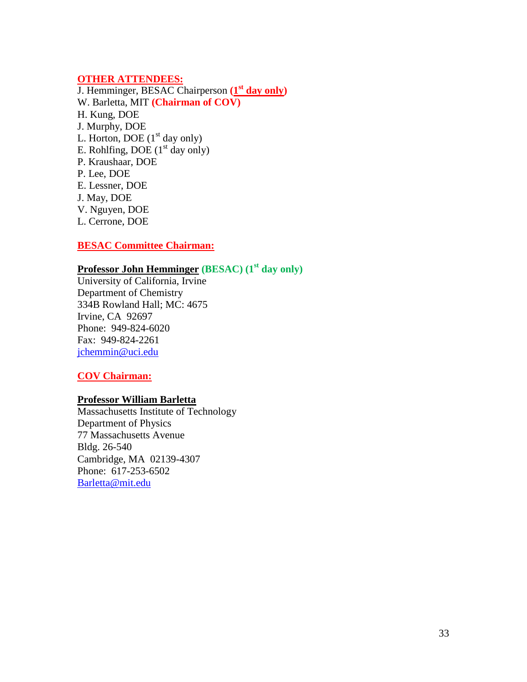#### **OTHER ATTENDEES:**

J. Hemminger, BESAC Chairperson **(1st day only)** W. Barletta, MIT **(Chairman of COV)**  H. Kung, DOE J. Murphy, DOE L. Horton, DOE  $(1<sup>st</sup>$  day only) E. Rohlfing, DOE  $(1<sup>st</sup>$  day only) P. Kraushaar, DOE P. Lee, DOE E. Lessner, DOE J. May, DOE V. Nguyen, DOE L. Cerrone, DOE

#### **BESAC Committee Chairman:**

# **Professor John Hemminger (BESAC) (1st day only)**

University of California, Irvine Department of Chemistry 334B Rowland Hall; MC: 4675 Irvine, CA 92697 Phone: 949-824-6020 Fax: 949-824-2261 [jchemmin@uci.edu](mailto:jchemmin@uci.edu)

#### **COV Chairman:**

#### **Professor William Barletta**

Massachusetts Institute of Technology Department of Physics 77 Massachusetts Avenue Bldg. 26-540 Cambridge, MA 02139-4307 Phone: 617-253-6502 [Barletta@mit.edu](mailto:Barletta@mit.edu)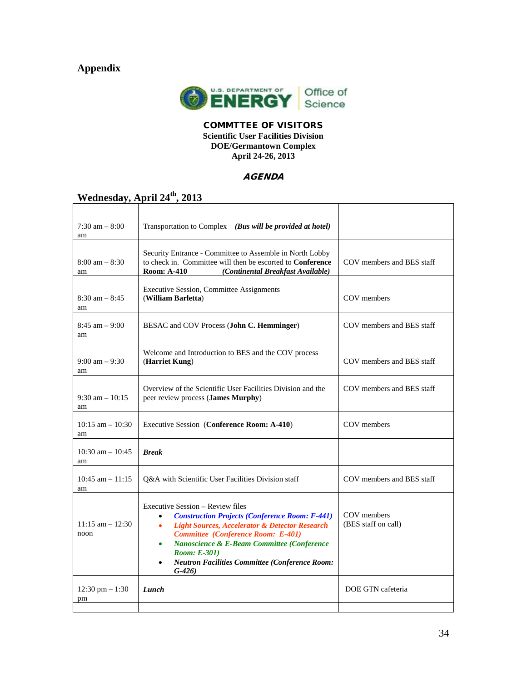# **Appendix**



#### COMMTTEE OF VISITORS **Scientific User Facilities Division DOE/Germantown Complex April 24-26, 2013**

#### **AGENDA**

# Wednesday, April 24<sup>th</sup>, 2013

| $7:30 \text{ am} - 8:00$<br>am  | Transportation to Complex (Bus will be provided at hotel)                                                                                                                                                                                                                                                                                                                                          |                                    |
|---------------------------------|----------------------------------------------------------------------------------------------------------------------------------------------------------------------------------------------------------------------------------------------------------------------------------------------------------------------------------------------------------------------------------------------------|------------------------------------|
| $8:00 \text{ am} - 8:30$<br>am  | Security Entrance - Committee to Assemble in North Lobby<br>to check in. Committee will then be escorted to <b>Conference</b><br><b>Room: A-410</b><br>(Continental Breakfast Available)                                                                                                                                                                                                           | COV members and BES staff          |
| $8:30$ am $-8:45$<br>am         | <b>Executive Session, Committee Assignments</b><br>(William Barletta)                                                                                                                                                                                                                                                                                                                              | COV members                        |
| $8:45$ am $-9:00$<br>am         | BESAC and COV Process (John C. Hemminger)                                                                                                                                                                                                                                                                                                                                                          | COV members and BES staff          |
| $9:00 \text{ am} - 9:30$<br>am  | Welcome and Introduction to BES and the COV process<br>(Harriet Kung)                                                                                                                                                                                                                                                                                                                              | COV members and BES staff          |
| $9:30$ am $-10:15$<br>am        | Overview of the Scientific User Facilities Division and the<br>peer review process (James Murphy)                                                                                                                                                                                                                                                                                                  | COV members and BES staff          |
| $10:15$ am $-10:30$<br>am       | Executive Session (Conference Room: A-410)                                                                                                                                                                                                                                                                                                                                                         | COV members                        |
| 10:30 am $- 10:45$<br>am        | <b>Break</b>                                                                                                                                                                                                                                                                                                                                                                                       |                                    |
| $10:45$ am $-11:15$<br>am       | Q&A with Scientific User Facilities Division staff                                                                                                                                                                                                                                                                                                                                                 | COV members and BES staff          |
| $11:15$ am $-12:30$<br>noon     | Executive Session – Review files<br><b>Construction Projects (Conference Room: F-441)</b><br>$\bullet$<br><b>Light Sources, Accelerator &amp; Detector Research</b><br>$\bullet$<br><b>Committee</b> (Conference Room: E-401)<br>Nanoscience & E-Beam Committee (Conference<br>$\bullet$<br><b>Room: E-301)</b><br><b>Neutron Facilities Committee (Conference Room:</b><br>$\bullet$<br>$(G-426)$ | COV members<br>(BES staff on call) |
| $12:30 \text{ pm} - 1:30$<br>pm | Lunch                                                                                                                                                                                                                                                                                                                                                                                              | DOE GTN cafeteria                  |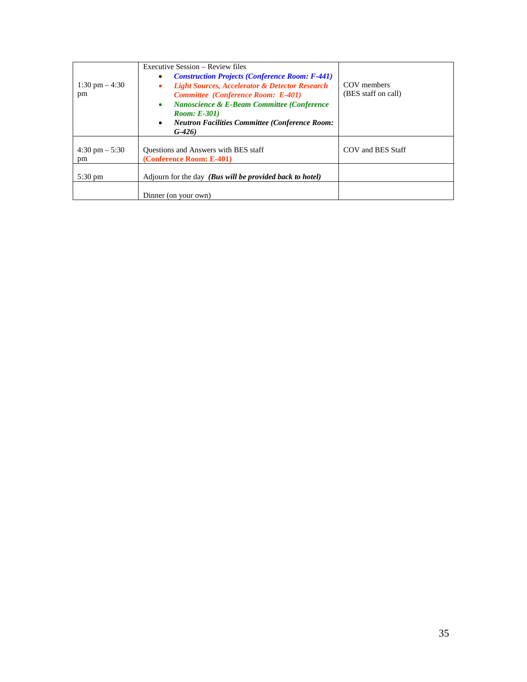| 1:30 pm $-4:30$<br>pm          | Executive Session – Review files<br><b>Construction Projects (Conference Room: F-441)</b><br><b>Light Sources, Accelerator &amp; Detector Research</b><br><b>Committee</b> (Conference Room: E-401)<br><b>Nanoscience &amp; E-Beam Committee (Conference</b><br>٠<br><b>Room: E-301</b> )<br><b>Neutron Facilities Committee (Conference Room:</b><br>$\bullet$<br>$G-426$ | COV members<br>(BES staff on call) |
|--------------------------------|----------------------------------------------------------------------------------------------------------------------------------------------------------------------------------------------------------------------------------------------------------------------------------------------------------------------------------------------------------------------------|------------------------------------|
| $4:30 \text{ pm} - 5:30$<br>pm | Questions and Answers with BES staff<br>(Conference Room: E-401)                                                                                                                                                                                                                                                                                                           | COV and BES Staff                  |
| $5:30 \text{ pm}$              | Adjourn for the day ( <b>Bus will be provided back to hotel</b> )                                                                                                                                                                                                                                                                                                          |                                    |
|                                | Dinner (on your own)                                                                                                                                                                                                                                                                                                                                                       |                                    |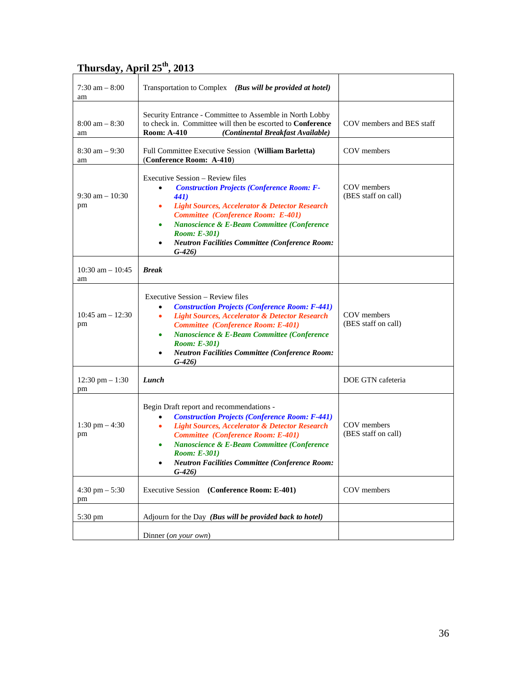# **Thursday, April 25th, 2013**

| $7:30$ am $-8:00$<br>am         | Transportation to Complex (Bus will be provided at hotel)                                                                                                                                                                                                                                                                                                                               |                                    |
|---------------------------------|-----------------------------------------------------------------------------------------------------------------------------------------------------------------------------------------------------------------------------------------------------------------------------------------------------------------------------------------------------------------------------------------|------------------------------------|
| $8:00 \text{ am} - 8:30$<br>am  | Security Entrance - Committee to Assemble in North Lobby<br>to check in. Committee will then be escorted to Conference<br><b>Room: A-410</b><br>(Continental Breakfast Available)                                                                                                                                                                                                       | COV members and BES staff          |
| $8:30$ am $-9:30$<br>am         | Full Committee Executive Session (William Barletta)<br>(Conference Room: A-410)                                                                                                                                                                                                                                                                                                         | COV members                        |
| $9:30 \text{ am} - 10:30$<br>pm | Executive Session – Review files<br><b>Construction Projects (Conference Room: F-</b><br><b>441</b> )<br><b>Light Sources, Accelerator &amp; Detector Research</b><br>$\bullet$<br><b>Committee</b> (Conference Room: E-401)<br>Nanoscience & E-Beam Committee (Conference<br>٠<br><b>Room: E-301)</b><br><b>Neutron Facilities Committee (Conference Room:</b><br>$\bullet$<br>$G-426$ | COV members<br>(BES staff on call) |
| $10:30$ am $- 10:45$<br>am      | <b>Break</b>                                                                                                                                                                                                                                                                                                                                                                            |                                    |
| $10:45$ am $- 12:30$<br>pm      | Executive Session – Review files<br><b>Construction Projects (Conference Room: F-441)</b><br><b>Light Sources, Accelerator &amp; Detector Research</b><br>$\bullet$<br><b>Committee</b> (Conference Room: E-401)<br>Nanoscience & E-Beam Committee (Conference<br>$\bullet$<br><b>Room: E-301)</b><br><b>Neutron Facilities Committee (Conference Room:</b><br>$\bullet$<br>$G-426$     | COV members<br>(BES staff on call) |
| $12:30 \text{ pm} - 1:30$<br>pm | Lunch                                                                                                                                                                                                                                                                                                                                                                                   | DOE GTN cafeteria                  |
| $1:30 \text{ pm} - 4:30$<br>pm  | Begin Draft report and recommendations -<br><b>Construction Projects (Conference Room: F-441)</b><br><b>Light Sources, Accelerator &amp; Detector Research</b><br>٠<br><b>Committee</b> (Conference Room: E-401)<br>Nanoscience & E-Beam Committee (Conference<br>$\bullet$<br><b>Room: E-301</b> )<br><b>Neutron Facilities Committee (Conference Room:</b><br>G-426)                  | COV members<br>(BES staff on call) |
| 4:30 pm $-$ 5:30<br>pm          | (Conference Room: E-401)<br><b>Executive Session</b>                                                                                                                                                                                                                                                                                                                                    | COV members                        |
| 5:30 pm                         | Adjourn for the Day (Bus will be provided back to hotel)                                                                                                                                                                                                                                                                                                                                |                                    |
|                                 | Dinner (on your own)                                                                                                                                                                                                                                                                                                                                                                    |                                    |